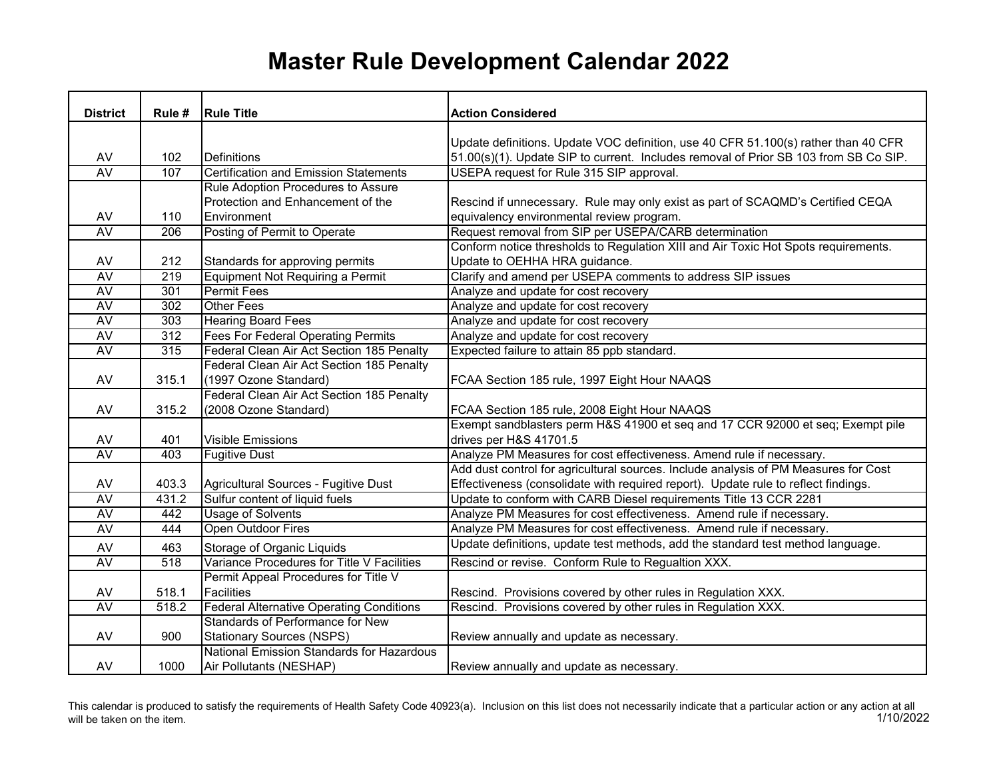## **Master Rule Development Calendar 2022**

| <b>District</b> | Rule # | <b>Rule Title</b>                               | <b>Action Considered</b>                                                             |
|-----------------|--------|-------------------------------------------------|--------------------------------------------------------------------------------------|
|                 |        |                                                 |                                                                                      |
|                 |        |                                                 | Update definitions. Update VOC definition, use 40 CFR 51.100(s) rather than 40 CFR   |
| AV              | 102    | Definitions                                     | 51.00(s)(1). Update SIP to current. Includes removal of Prior SB 103 from SB Co SIP. |
| AV              | 107    | <b>Certification and Emission Statements</b>    | USEPA request for Rule 315 SIP approval.                                             |
|                 |        | Rule Adoption Procedures to Assure              |                                                                                      |
|                 |        | Protection and Enhancement of the               | Rescind if unnecessary. Rule may only exist as part of SCAQMD's Certified CEQA       |
| AV              | 110    | Environment                                     | equivalency environmental review program.                                            |
| <b>AV</b>       | 206    | Posting of Permit to Operate                    | Request removal from SIP per USEPA/CARB determination                                |
|                 |        |                                                 | Conform notice thresholds to Regulation XIII and Air Toxic Hot Spots requirements.   |
| AV              | 212    | Standards for approving permits                 | Update to OEHHA HRA guidance.                                                        |
| <b>AV</b>       | 219    | Equipment Not Requiring a Permit                | Clarify and amend per USEPA comments to address SIP issues                           |
| AV              | 301    | <b>Permit Fees</b>                              | Analyze and update for cost recovery                                                 |
| <b>AV</b>       | 302    | <b>Other Fees</b>                               | Analyze and update for cost recovery                                                 |
| <b>AV</b>       | 303    | <b>Hearing Board Fees</b>                       | Analyze and update for cost recovery                                                 |
| AV              | 312    | <b>Fees For Federal Operating Permits</b>       | Analyze and update for cost recovery                                                 |
| <b>AV</b>       | 315    | Federal Clean Air Act Section 185 Penalty       | Expected failure to attain 85 ppb standard.                                          |
|                 |        | Federal Clean Air Act Section 185 Penalty       |                                                                                      |
| AV              | 315.1  | (1997 Ozone Standard)                           | FCAA Section 185 rule, 1997 Eight Hour NAAQS                                         |
|                 |        | Federal Clean Air Act Section 185 Penalty       |                                                                                      |
| AV              | 315.2  | (2008 Ozone Standard)                           | FCAA Section 185 rule, 2008 Eight Hour NAAQS                                         |
|                 |        |                                                 | Exempt sandblasters perm H&S 41900 et seq and 17 CCR 92000 et seq; Exempt pile       |
| AV              | 401    | <b>Visible Emissions</b>                        | drives per H&S 41701.5                                                               |
| AV              | 403    | <b>Fugitive Dust</b>                            | Analyze PM Measures for cost effectiveness. Amend rule if necessary.                 |
|                 |        |                                                 | Add dust control for agricultural sources. Include analysis of PM Measures for Cost  |
| AV              | 403.3  | Agricultural Sources - Fugitive Dust            | Effectiveness (consolidate with required report). Update rule to reflect findings.   |
| AV              | 431.2  | Sulfur content of liquid fuels                  | Update to conform with CARB Diesel requirements Title 13 CCR 2281                    |
| <b>AV</b>       | 442    | <b>Usage of Solvents</b>                        | Analyze PM Measures for cost effectiveness. Amend rule if necessary.                 |
| <b>AV</b>       | 444    | <b>Open Outdoor Fires</b>                       | Analyze PM Measures for cost effectiveness. Amend rule if necessary.                 |
| AV              | 463    | Storage of Organic Liquids                      | Update definitions, update test methods, add the standard test method language.      |
| AV              | 518    | Variance Procedures for Title V Facilities      | Rescind or revise. Conform Rule to Regualtion XXX.                                   |
|                 |        | Permit Appeal Procedures for Title V            |                                                                                      |
| AV              | 518.1  | Facilities                                      | Rescind. Provisions covered by other rules in Regulation XXX.                        |
| <b>AV</b>       | 518.2  | <b>Federal Alternative Operating Conditions</b> | Rescind. Provisions covered by other rules in Regulation XXX.                        |
|                 |        | Standards of Performance for New                |                                                                                      |
| AV              | 900    | <b>Stationary Sources (NSPS)</b>                | Review annually and update as necessary.                                             |
|                 |        | National Emission Standards for Hazardous       |                                                                                      |
| AV              | 1000   | Air Pollutants (NESHAP)                         | Review annually and update as necessary.                                             |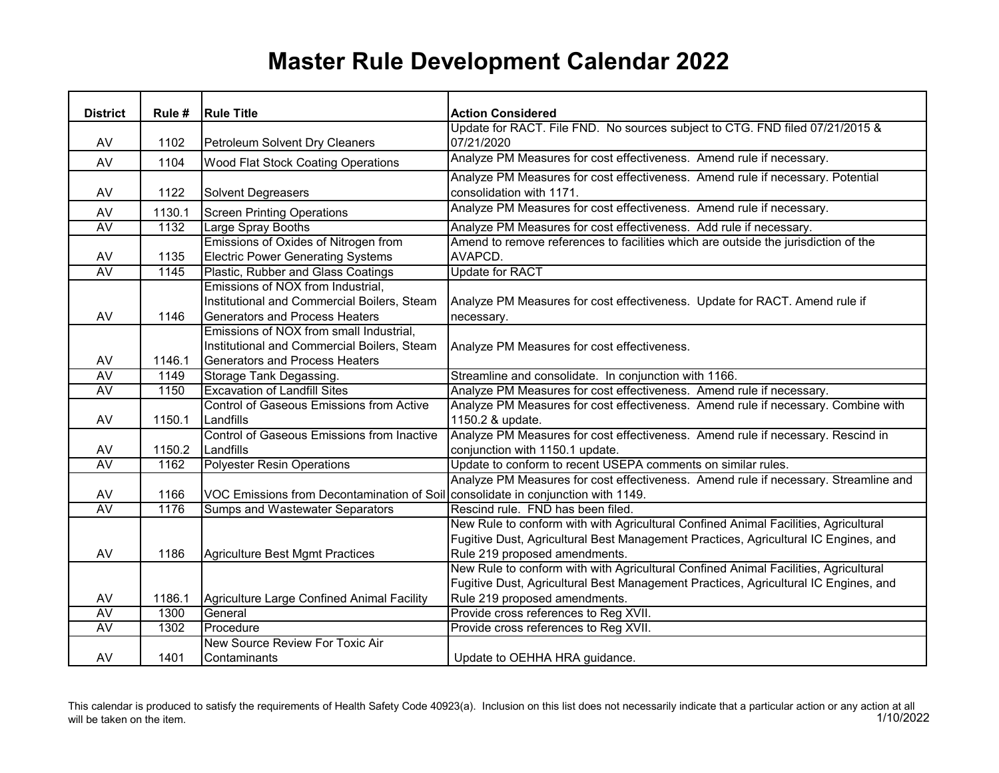## **Master Rule Development Calendar 2022**

|                 |        | <b>Rule Title</b>                                                                | <b>Action Considered</b>                                                            |
|-----------------|--------|----------------------------------------------------------------------------------|-------------------------------------------------------------------------------------|
| <b>District</b> | Rule # |                                                                                  | Update for RACT. File FND. No sources subject to CTG. FND filed 07/21/2015 &        |
| AV              | 1102   | Petroleum Solvent Dry Cleaners                                                   | 07/21/2020                                                                          |
|                 |        |                                                                                  | Analyze PM Measures for cost effectiveness. Amend rule if necessary.                |
| AV              | 1104   | Wood Flat Stock Coating Operations                                               |                                                                                     |
|                 |        |                                                                                  | Analyze PM Measures for cost effectiveness. Amend rule if necessary. Potential      |
| AV              | 1122   | <b>Solvent Degreasers</b>                                                        | consolidation with 1171.                                                            |
| AV              | 1130.1 | <b>Screen Printing Operations</b>                                                | Analyze PM Measures for cost effectiveness. Amend rule if necessary.                |
| <b>AV</b>       | 1132   | Large Spray Booths                                                               | Analyze PM Measures for cost effectiveness. Add rule if necessary.                  |
|                 |        | Emissions of Oxides of Nitrogen from                                             | Amend to remove references to facilities which are outside the jurisdiction of the  |
| AV              | 1135   | <b>Electric Power Generating Systems</b>                                         | AVAPCD.                                                                             |
| <b>AV</b>       | 1145   | Plastic, Rubber and Glass Coatings                                               | <b>Update for RACT</b>                                                              |
|                 |        | Emissions of NOX from Industrial,                                                |                                                                                     |
|                 |        | Institutional and Commercial Boilers, Steam                                      | Analyze PM Measures for cost effectiveness. Update for RACT. Amend rule if          |
| AV              | 1146   | <b>Generators and Process Heaters</b>                                            | necessary.                                                                          |
|                 |        | Emissions of NOX from small Industrial,                                          |                                                                                     |
|                 |        | Institutional and Commercial Boilers, Steam                                      | Analyze PM Measures for cost effectiveness.                                         |
| AV              | 1146.1 | <b>Generators and Process Heaters</b>                                            |                                                                                     |
| AV              | 1149   | Storage Tank Degassing.                                                          | Streamline and consolidate. In conjunction with 1166.                               |
| <b>AV</b>       | 1150   | <b>Excavation of Landfill Sites</b>                                              | Analyze PM Measures for cost effectiveness. Amend rule if necessary.                |
|                 |        | Control of Gaseous Emissions from Active                                         | Analyze PM Measures for cost effectiveness. Amend rule if necessary. Combine with   |
| AV              | 1150.1 | Landfills                                                                        | 1150.2 & update.                                                                    |
|                 |        | Control of Gaseous Emissions from Inactive                                       | Analyze PM Measures for cost effectiveness. Amend rule if necessary. Rescind in     |
| AV              | 1150.2 | Landfills                                                                        | conjunction with 1150.1 update.                                                     |
| <b>AV</b>       | 1162   | <b>Polyester Resin Operations</b>                                                | Update to conform to recent USEPA comments on similar rules.                        |
|                 |        |                                                                                  | Analyze PM Measures for cost effectiveness. Amend rule if necessary. Streamline and |
| AV              | 1166   | VOC Emissions from Decontamination of Soil consolidate in conjunction with 1149. |                                                                                     |
| <b>AV</b>       | 1176   | <b>Sumps and Wastewater Separators</b>                                           | Rescind rule. FND has been filed.                                                   |
|                 |        |                                                                                  | New Rule to conform with with Agricultural Confined Animal Facilities, Agricultural |
|                 |        |                                                                                  | Fugitive Dust, Agricultural Best Management Practices, Agricultural IC Engines, and |
| AV              | 1186   | <b>Agriculture Best Mgmt Practices</b>                                           | Rule 219 proposed amendments.                                                       |
|                 |        |                                                                                  | New Rule to conform with with Agricultural Confined Animal Facilities, Agricultural |
|                 |        |                                                                                  | Fugitive Dust, Agricultural Best Management Practices, Agricultural IC Engines, and |
| AV              | 1186.1 | Agriculture Large Confined Animal Facility                                       | Rule 219 proposed amendments.                                                       |
| AV              | 1300   | General                                                                          | Provide cross references to Reg XVII.                                               |
| <b>AV</b>       | 1302   | Procedure                                                                        | Provide cross references to Reg XVII.                                               |
|                 |        | New Source Review For Toxic Air                                                  |                                                                                     |
| AV              | 1401   | Contaminants                                                                     | Update to OEHHA HRA guidance.                                                       |